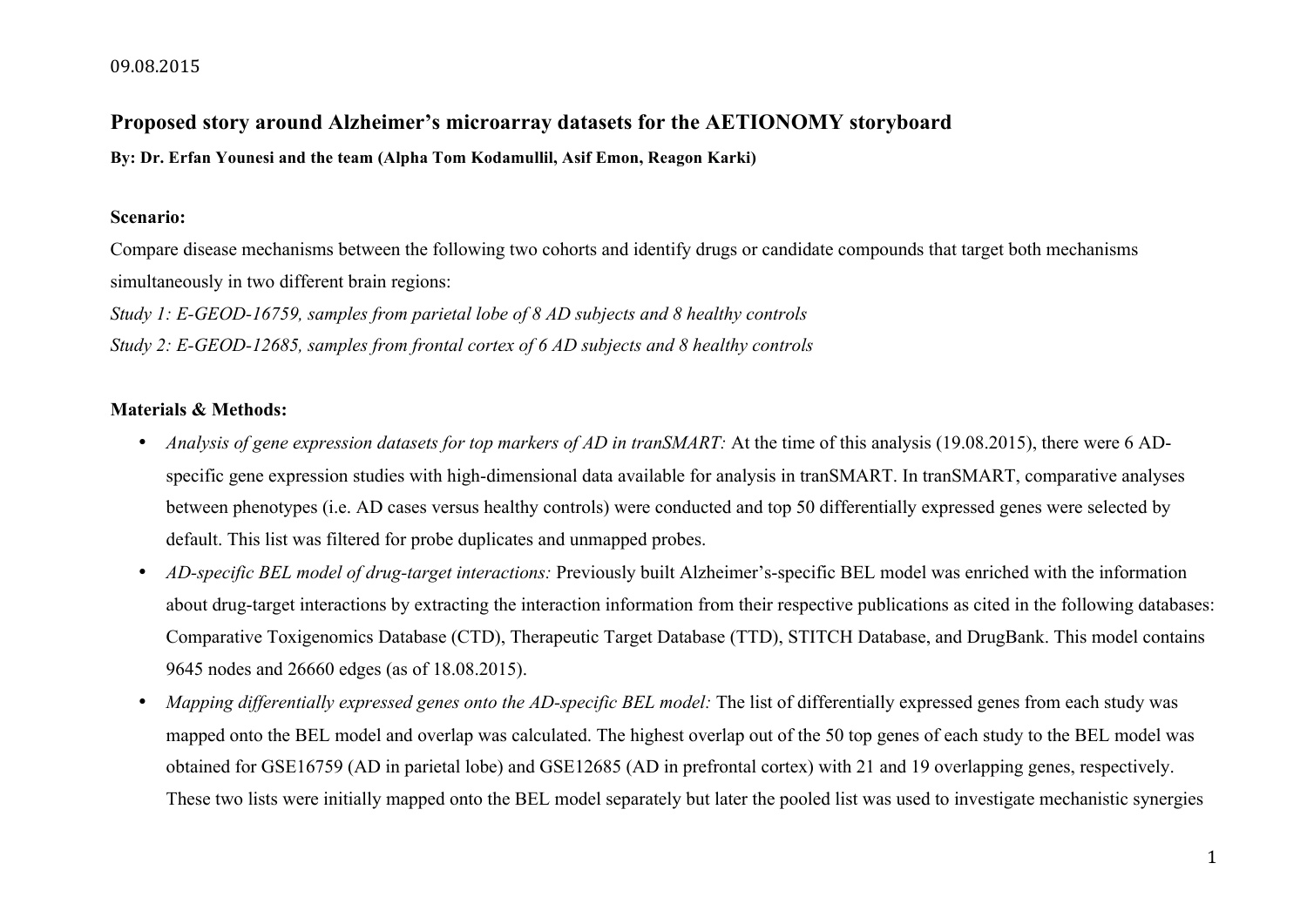#### 09.08.2015

# **Proposed story around Alzheimer's microarray datasets for the AETIONOMY storyboard**

**By: Dr. Erfan Younesi and the team (Alpha Tom Kodamullil, Asif Emon, Reagon Karki)**

## **Scenario:**

Compare disease mechanisms between the following two cohorts and identify drugs or candidate compounds that target both mechanisms simultaneously in two different brain regions:

*Study 1: E-GEOD-16759, samples from parietal lobe of 8 AD subjects and 8 healthy controls Study 2: E-GEOD-12685, samples from frontal cortex of 6 AD subjects and 8 healthy controls*

# **Materials & Methods:**

- *Analysis of gene expression datasets for top markers of AD in tranSMART:* At the time of this analysis (19.08.2015), there were 6 ADspecific gene expression studies with high-dimensional data available for analysis in tranSMART. In tranSMART, comparative analyses between phenotypes (i.e. AD cases versus healthy controls) were conducted and top 50 differentially expressed genes were selected by default. This list was filtered for probe duplicates and unmapped probes.
- *AD-specific BEL model of drug-target interactions:* Previously built Alzheimer's-specific BEL model was enriched with the information about drug-target interactions by extracting the interaction information from their respective publications as cited in the following databases: Comparative Toxigenomics Database (CTD), Therapeutic Target Database (TTD), STITCH Database, and DrugBank. This model contains 9645 nodes and 26660 edges (as of 18.08.2015).
- *Mapping differentially expressed genes onto the AD-specific BEL model:* The list of differentially expressed genes from each study was mapped onto the BEL model and overlap was calculated. The highest overlap out of the 50 top genes of each study to the BEL model was obtained for GSE16759 (AD in parietal lobe) and GSE12685 (AD in prefrontal cortex) with 21 and 19 overlapping genes, respectively. These two lists were initially mapped onto the BEL model separately but later the pooled list was used to investigate mechanistic synergies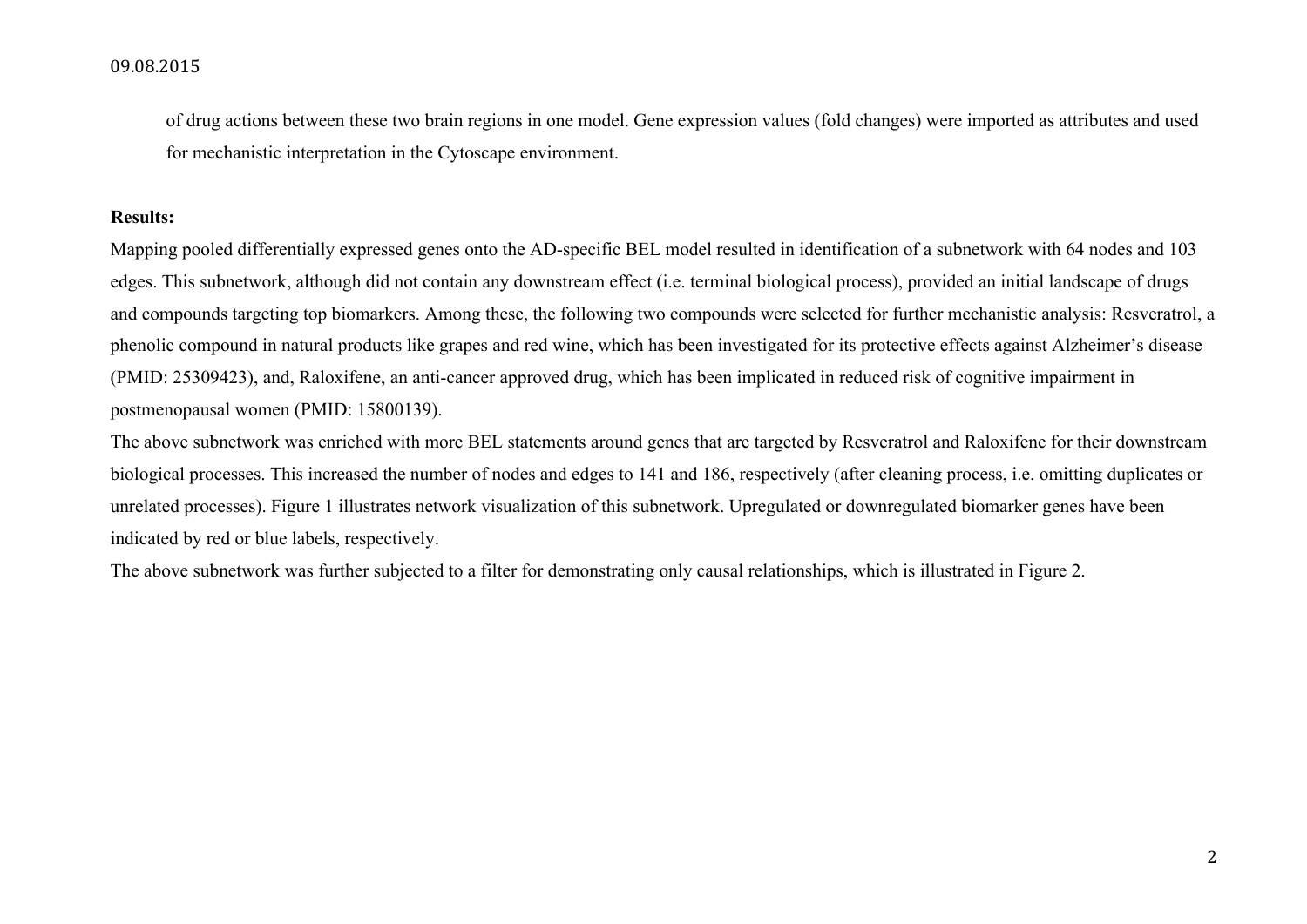#### 09.08.2015

of drug actions between these two brain regions in one model. Gene expression values (fold changes) were imported as attributes and used for mechanistic interpretation in the Cytoscape environment.

## **Results:**

Mapping pooled differentially expressed genes onto the AD-specific BEL model resulted in identification of a subnetwork with 64 nodes and 103 edges. This subnetwork, although did not contain any downstream effect (i.e. terminal biological process), provided an initial landscape of drugs and compounds targeting top biomarkers. Among these, the following two compounds were selected for further mechanistic analysis: Resveratrol, a phenolic compound in natural products like grapes and red wine, which has been investigated for its protective effects against Alzheimer's disease (PMID: 25309423), and, Raloxifene, an anti-cancer approved drug, which has been implicated in reduced risk of cognitive impairment in postmenopausal women (PMID: 15800139).

The above subnetwork was enriched with more BEL statements around genes that are targeted by Resveratrol and Raloxifene for their downstream biological processes. This increased the number of nodes and edges to 141 and 186, respectively (after cleaning process, i.e. omitting duplicates or unrelated processes). Figure 1 illustrates network visualization of this subnetwork. Upregulated or downregulated biomarker genes have been indicated by red or blue labels, respectively.

The above subnetwork was further subjected to a filter for demonstrating only causal relationships, which is illustrated in Figure 2.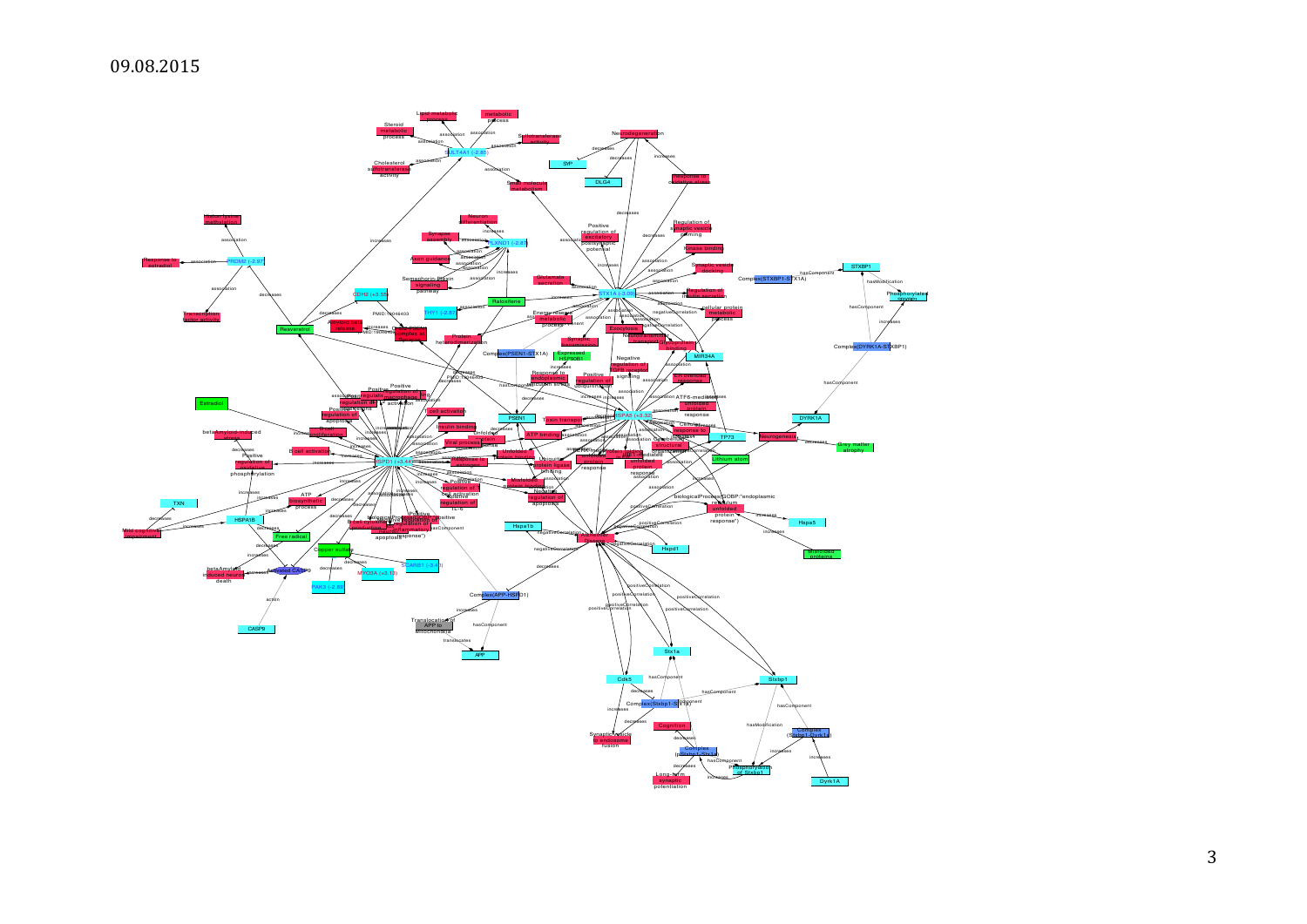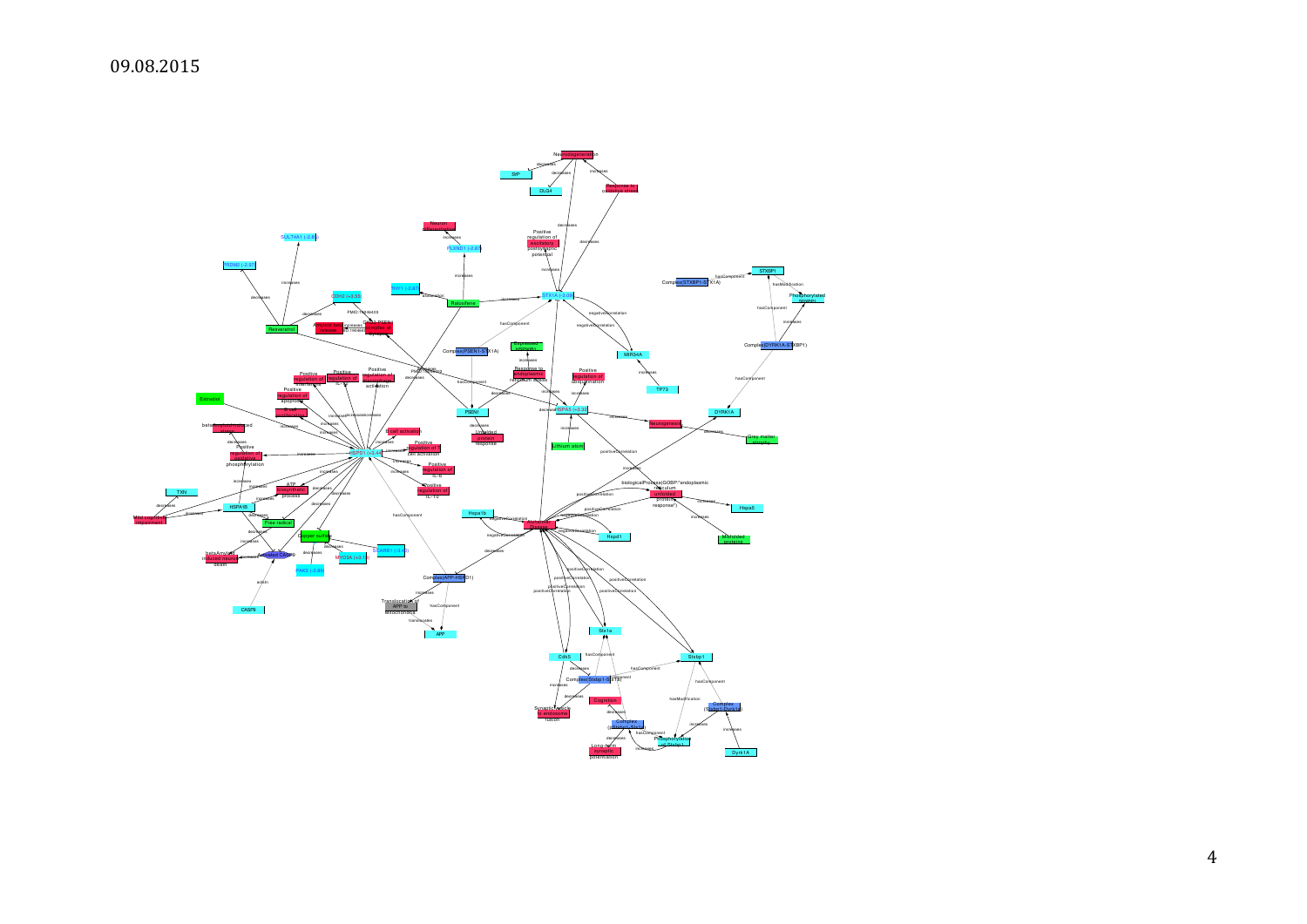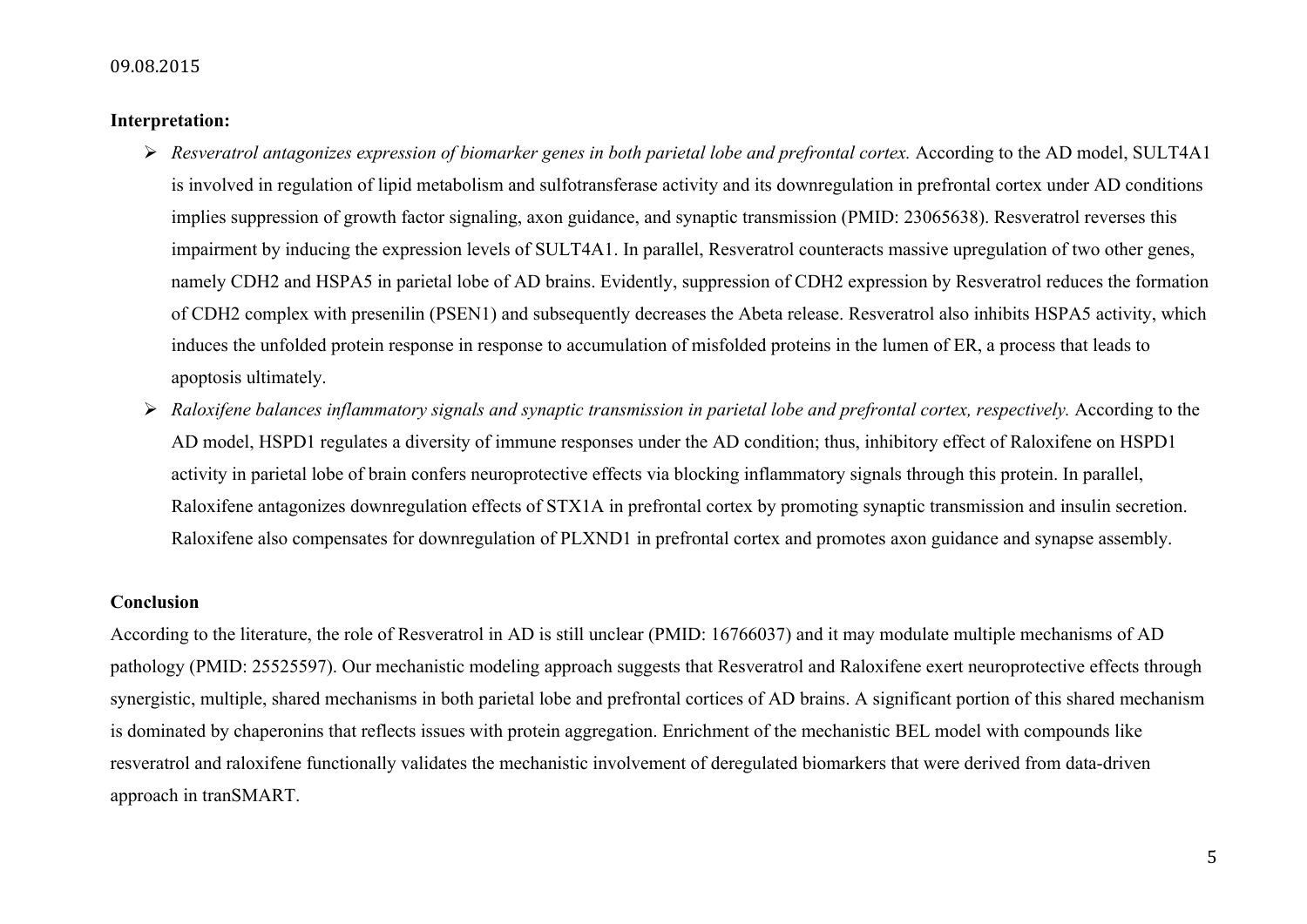#### 09.08.2015

#### **Interpretation:**

- *Resveratrol antagonizes expression of biomarker genes in both parietal lobe and prefrontal cortex.* According to the AD model, SULT4A1 is involved in regulation of lipid metabolism and sulfotransferase activity and its downregulation in prefrontal cortex under AD conditions implies suppression of growth factor signaling, axon guidance, and synaptic transmission (PMID: 23065638). Resveratrol reverses this impairment by inducing the expression levels of SULT4A1. In parallel, Resveratrol counteracts massive upregulation of two other genes, namely CDH2 and HSPA5 in parietal lobe of AD brains. Evidently, suppression of CDH2 expression by Resveratrol reduces the formation of CDH2 complex with presenilin (PSEN1) and subsequently decreases the Abeta release. Resveratrol also inhibits HSPA5 activity, which induces the unfolded protein response in response to accumulation of misfolded proteins in the lumen of ER, a process that leads to apoptosis ultimately.
- *Raloxifene balances inflammatory signals and synaptic transmission in parietal lobe and prefrontal cortex, respectively.* According to the AD model, HSPD1 regulates a diversity of immune responses under the AD condition; thus, inhibitory effect of Raloxifene on HSPD1 activity in parietal lobe of brain confers neuroprotective effects via blocking inflammatory signals through this protein. In parallel, Raloxifene antagonizes downregulation effects of STX1A in prefrontal cortex by promoting synaptic transmission and insulin secretion. Raloxifene also compensates for downregulation of PLXND1 in prefrontal cortex and promotes axon guidance and synapse assembly.

#### **Conclusion**

According to the literature, the role of Resveratrol in AD is still unclear (PMID: 16766037) and it may modulate multiple mechanisms of AD pathology (PMID: 25525597). Our mechanistic modeling approach suggests that Resveratrol and Raloxifene exert neuroprotective effects through synergistic, multiple, shared mechanisms in both parietal lobe and prefrontal cortices of AD brains. A significant portion of this shared mechanism is dominated by chaperonins that reflects issues with protein aggregation. Enrichment of the mechanistic BEL model with compounds like resveratrol and raloxifene functionally validates the mechanistic involvement of deregulated biomarkers that were derived from data-driven approach in tranSMART.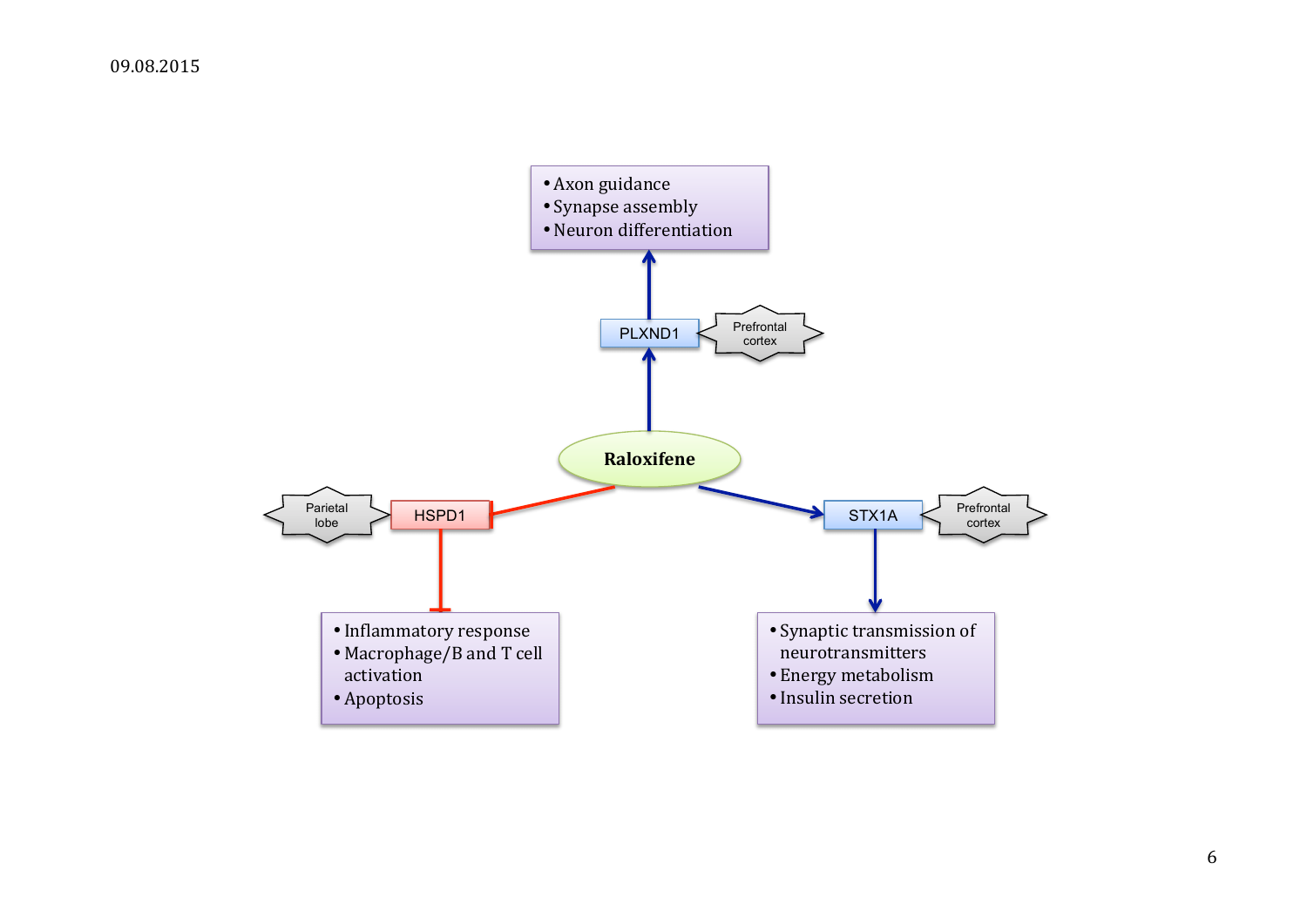